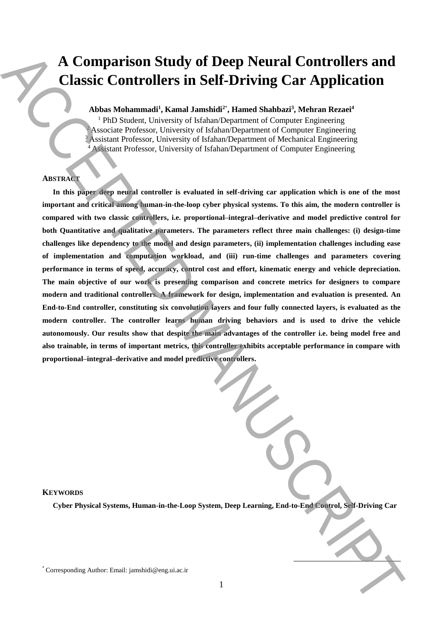# **A Comparison Study of Deep Neural Controllers and Classic Controllers in Self-Driving Car Application**

## **Abbas Mohammadi<sup>1</sup> , Kamal Jamshidi<sup>2</sup>**\* **, Hamed Shahbazi<sup>3</sup> , Mehran Rezaei<sup>4</sup>**

<sup>1</sup> PhD Student, University of Isfahan/Department of Computer Engineering  $2$  Associate Professor, University of Isfahan/Department of Computer Engineering <sup>3</sup> Assistant Professor, University of Isfahan/Department of Mechanical Engineering <sup>4</sup> Assistant Professor, University of Isfahan/Department of Computer Engineering

## **ABSTRACT**

**In this paper deep neural controller is evaluated in self-driving car application which is one of the most important and critical among human-in-the-loop cyber physical systems. To this aim, the modern controller is compared with two classic controllers, i.e. proportional–integral–derivative and model predictive control for both Quantitative and qualitative parameters. The parameters reflect three main challenges: (i) design-time challenges like dependency to the model and design parameters, (ii) implementation challenges including ease of implementation and computation workload, and (iii) run-time challenges and parameters covering performance in terms of speed, accuracy, control cost and effort, kinematic energy and vehicle depreciation. The main objective of our work is presenting comparison and concrete metrics for designers to compare modern and traditional controllers. A framework for design, implementation and evaluation is presented. An End-to-End controller, constituting six convolution layers and four fully connected layers, is evaluated as the modern controller. The controller learns human driving behaviors and is used to drive the vehicle autonomously. Our results show that despite the main advantages of the controller i.e. being model free and also trainable, in terms of important metrics, this controller exhibits acceptable performance in compare with proportional–integral–derivative and model predictive controllers.** A Comparison Study of Deep Neural Controllers and<br>
Classic Controllers in Self-Driving Car Application<br>
Associated Manuscript (Engels Carried Scheme) and the corresponding Author: Financial Automatical Author:  $\frac{1}{2}$ <br>

#### **KEYWORDS**

**Cyber Physical Systems, Human-in-the-Loop System, Deep Learning, End-to-End Control, Self-Driving Car**

 $\overline{a}$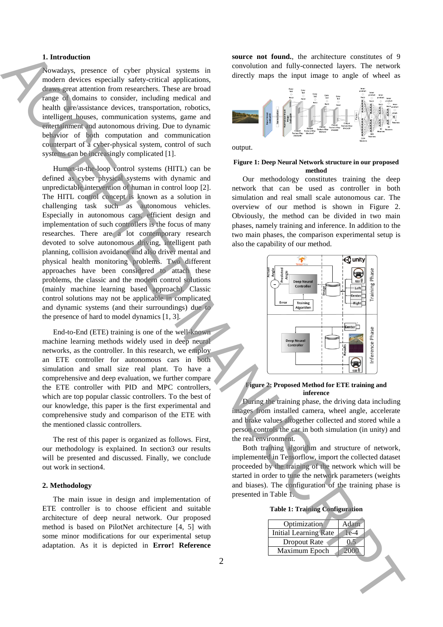## **1. Introduction**

Nowadays, presence of cyber physical systems in modern devices especially safety-critical applications, draws great attention from researchers. These are broad range of domains to consider, including medical and health care/assistance devices, transportation, robotics, intelligent houses, communication systems, game and entertainment and autonomous driving. Due to dynamic behavior of both computation and communication counterpart of a cyber-physical system, control of such systems can be increasingly complicated [1].

Human-in-the-loop control systems (HITL) can be defined as cyber physical systems with dynamic and unpredictable intervention of human in control loop [2]. The HITL control concept is known as a solution in challenging task such as autonomous vehicles. Especially in autonomous cars, efficient design and implementation of such controllers is the focus of many researches. There are a lot contemporary research devoted to solve autonomous driving, intelligent path planning, collision avoidance and also driver mental and physical health monitoring problems. Two different approaches have been considered to attach these problems, the classic and the modern control solutions (mainly machine learning based approach). Classic control solutions may not be applicable in complicated and dynamic systems (and their surroundings) due to the presence of hard to model dynamics [1, 3]. Let  $\overline{M}$  and  $\overline{M}$  and  $\overline{M}$  are controlled to the solid to the solid the solid to the solid to the solid to the solid to the solid to the solid to the solid to the solid to the solid to the solid to the solid t

End-to-End (ETE) training is one of the well-known machine learning methods widely used in deep neural networks, as the controller. In this research, we employ an ETE controller for autonomous cars in both simulation and small size real plant. To have a comprehensive and deep evaluation, we further compare the ETE controller with PID and MPC controllers, which are top popular classic controllers. To the best of our knowledge, this paper is the first experimental and comprehensive study and comparison of the ETE with the mentioned classic controllers.

The rest of this paper is organized as follows. First, our methodology is explained. In section3 our results will be presented and discussed. Finally, we conclude out work in section4.

## **2. Methodology**

The main issue in design and implementation of ETE controller is to choose efficient and suitable architecture of deep neural network. Our proposed method is based on PilotNet architecture [4, 5] with some minor modifications for our experimental setup adaptation. As it is depicted in **Error! Reference** 

**source not found.**, the architecture constitutes of 9 convolution and fully-connected layers. The network directly maps the input image to angle of wheel as



output.

#### **Figure 1: Deep Neural Network structure in our proposed method**

Our methodology constitutes training the deep network that can be used as controller in both simulation and real small scale autonomous car. The overview of our method is shown in Figure 2. Obviously, the method can be divided in two main phases, namely training and inference. In addition to the two main phases, the comparison experimental setup is also the capability of our method.



#### **Figure 2: Proposed Method for ETE training and inference**

<span id="page-1-0"></span>During the training phase, the driving data including images from installed camera, wheel angle, accelerate and brake values altogether collected and stored while a person controls the car in both simulation (in unity) and the real environment.

Both training algorithm and structure of network, implemented in Tensorflow, import the collected dataset proceeded by the training of the network which will be started in order to tune the network parameters (weights and biases). The configuration of the training phase is presented in Table 1.

<span id="page-1-1"></span>

| Optimization          | Adam |
|-----------------------|------|
| Initial Learning Rate | 1ē-4 |
| Dropout Rate          |      |
| Maximum Epoch         |      |
|                       |      |